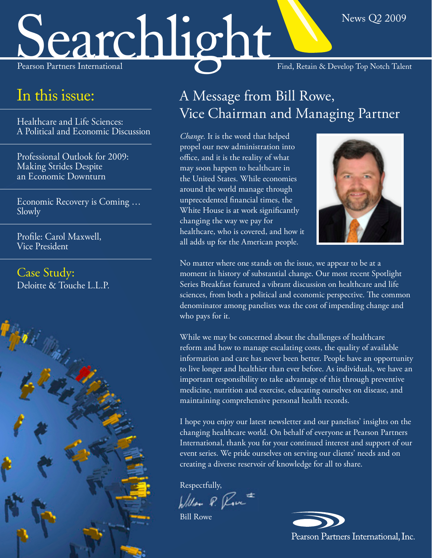# Searchlight Find, Retain & Develop Top Notch Talent

### In this issue:

Healthcare and Life Sciences: [A Political and Economic Discussion](#page-1-0)

[Professional Outlook for 2009:](#page-2-0)  Making Strides Despite an Economic Downturn

[Economic Recovery is Coming …](#page-3-0)  Slowly

[Profile: Carol Maxwell,](#page-4-0)  Vice President

Case Study: [Deloitte & Touche L.L.P.](#page-5-0)



### A Message from Bill Rowe, Vice Chairman and Managing Partner

*Change*. It is the word that helped propel our new administration into office, and it is the reality of what may soon happen to healthcare in the United States. While economies around the world manage through unprecedented financial times, the White House is at work significantly changing the way we pay for healthcare, who is covered, and how it all adds up for the American people.



News Q2 2009

No matter where one stands on the issue, we appear to be at a moment in history of substantial change. Our most recent Spotlight Series Breakfast featured a vibrant discussion on healthcare and life sciences, from both a political and economic perspective. The common denominator among panelists was the cost of impending change and who pays for it.

While we may be concerned about the challenges of healthcare reform and how to manage escalating costs, the quality of available information and care has never been better. People have an opportunity to live longer and healthier than ever before. As individuals, we have an important responsibility to take advantage of this through preventive medicine, nutrition and exercise, educating ourselves on disease, and maintaining comprehensive personal health records.

I hope you enjoy our latest newsletter and our panelists' insights on the changing healthcare world. On behalf of everyone at Pearson Partners International, thank you for your continued interest and support of our event series. We pride ourselves on serving our clients' needs and on creating a diverse reservoir of knowledge for all to share.

Respectfully,

William P. Rove

Bill Rowe

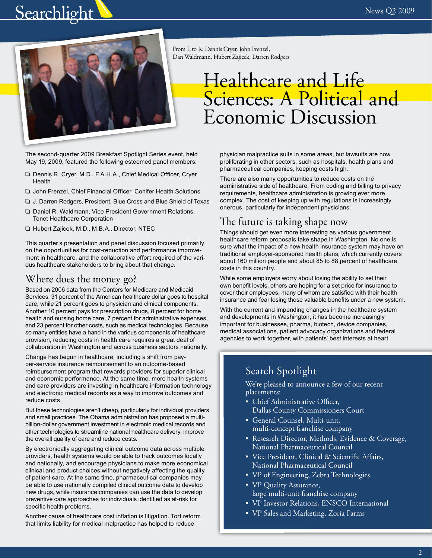# <span id="page-1-0"></span>Searchlight  $N_{\text{new 22009}}$



From L to R: Dennis Cryer, John Frenzel, Dan Waldmann, Hubert Zajicek, Darren Rodgers

# Healthcare and Life Sciences: A Political and Economic Discussion

The second-quarter 2009 Breakfast Spotlight Series event, held May 19, 2009, featured the following esteemed panel members:

- ❏ Dennis R. Cryer, M.D., F.A.H.A., Chief Medical Officer, Cryer **Health**
- ❏ John Frenzel, Chief Financial Officer, Conifer Health Solutions
- ❏ J. Darren Rodgers, President, Blue Cross and Blue Shield of Texas
- ❏ Daniel R. Waldmann, Vice President Government Relations, Tenet Healthcare Corporation
- ❏ Hubert Zajicek, M.D., M.B.A., Director, NTEC

This quarter's presentation and panel discussion focused primarily on the opportunities for cost-reduction and performance improvement in healthcare, and the collaborative effort required of the various healthcare stakeholders to bring about that change.

#### Where does the money go?

Based on 2006 data from the Centers for Medicare and Medicaid Services, 31 percent of the American healthcare dollar goes to hospital care, while 21 percent goes to physician and clinical components. Another 10 percent pays for prescription drugs, 8 percent for home health and nursing home care, 7 percent for administrative expenses, and 23 percent for other costs, such as medical technologies. Because so many entities have a hand in the various components of healthcare provision, reducing costs in health care requires a great deal of collaboration in Washington and across business sectors nationally.

Change has begun in healthcare, including a shift from payper-service insurance reimbursement to an outcome-based reimbursement program that rewards providers for superior clinical and economic performance. At the same time, more health systems and care providers are investing in healthcare information technology and electronic medical records as a way to improve outcomes and reduce costs.

But these technologies aren't cheap, particularly for individual providers and small practices. The Obama administration has proposed a multibillion-dollar government investment in electronic medical records and other technologies to streamline national healthcare delivery, improve the overall quality of care and reduce costs.

By electronically aggregating clinical outcome data across multiple providers, health systems would be able to track outcomes locally and nationally, and encourage physicians to make more economical clinical and product choices without negatively affecting the quality of patient care. At the same time, pharmaceutical companies may be able to use nationally compiled clinical outcome data to develop new drugs, while insurance companies can use the data to develop preventive care approaches for individuals identified as at-risk for specific health problems.

Another cause of healthcare cost inflation is litigation. Tort reform that limits liability for medical malpractice has helped to reduce

physician malpractice suits in some areas, but lawsuits are now proliferating in other sectors, such as hospitals, health plans and pharmaceutical companies, keeping costs high.

There are also many opportunities to reduce costs on the administrative side of healthcare. From coding and billing to privacy requirements, healthcare administration is growing ever more complex. The cost of keeping up with regulations is increasingly onerous, particularly for independent physicians.

#### The future is taking shape now

Things should get even more interesting as various government healthcare reform proposals take shape in Washington. No one is sure what the impact of a new health insurance system may have on traditional employer-sponsored health plans, which currently covers about 160 million people and about 85 to 88 percent of healthcare costs in this country.

While some employers worry about losing the ability to set their own benefit levels, others are hoping for a set price for insurance to cover their employees, many of whom are satisfied with their health insurance and fear losing those valuable benefits under a new system.

With the current and impending changes in the healthcare system and developments in Washington, it has become increasingly important for businesses, pharma, biotech, device companies, medical associations, patient advocacy organizations and federal agencies to work together, with patients' best interests at heart.

#### Search Spotlight

We're pleased to announce a few of our recent placements:

- Chief Administrative Officer, Dallas County Commissioners Court
- General Counsel, Multi-unit, multi-concept franchise company
- Research Director, Methods, Evidence & Coverage, National Pharmaceutical Council
- Vice President, Clinical & Scientific Affairs, National Pharmaceutical Council
- VP of Engineering, Zebra Technologies
- VP Quality Assurance, large multi-unit franchise company
- VP Investor Relations, ENSCO International
- VP Sales and Marketing, Zoria Farms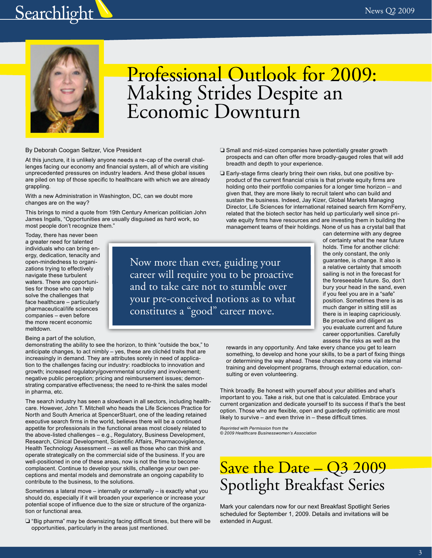# <span id="page-2-0"></span>Searchlight  $\sum_{\text{News } Q2\ 2009}$



# Professional Outlook for 2009: Making Strides Despite an Economic Downturn

#### By Deborah Coogan Seltzer, Vice President

At this juncture, it is unlikely anyone needs a re-cap of the overall challenges facing our economy and financial system, all of which are visiting unprecedented pressures on industry leaders. And these global issues are piled on top of those specific to healthcare with which we are already grappling.

With a new Administration in Washington, DC, can we doubt more changes are on the way?

This brings to mind a quote from 19th Century American politician John James Ingalls, "Opportunities are usually disguised as hard work, so most people don't recognize them."

Today, there has never been a greater need for talented individuals who can bring energy, dedication, tenacity and open-mindedness to organizations trying to effectively navigate these turbulent waters. There are opportunities for those who can help solve the challenges that face healthcare – particularly pharmaceutical/life sciences companies – even before the more recent economic meltdown.

your pre-conceived notions as to what constitutes a "good" career move.

Now more than ever, guiding your career will require you to be proactive and to take care not to stumble over

- ❏ Small and mid-sized companies have potentially greater growth prospects and can often offer more broadly-gauged roles that will add breadth and depth to your experience. ❏ Early-stage firms clearly bring their own risks, but one positive by-
- product of the current financial crisis is that private equity firms are holding onto their portfolio companies for a longer time horizon – and given that, they are more likely to recruit talent who can build and sustain the business. Indeed, Jay Kizer, Global Markets Managing Director, Life Sciences for international retained search firm KornFerry, related that the biotech sector has held up particularly well since private equity firms have resources and are investing them in building the management teams of their holdings. None of us has a crystal ball that

can determine with any degree of certainty what the near future holds. Time for another cliché: the only constant, the only guarantee, is change. It also is a relative certainty that smooth sailing is not in the forecast for the foreseeable future. So, don't bury your head in the sand, even if you feel you are in a "safe" position. Sometimes there is as much danger in sitting still as there is in leaping capriciously. Be proactive and diligent as you evaluate current and future career opportunities. Carefully assess the risks as well as the

rewards in any opportunity. And take every chance you get to learn something, to develop and hone your skills, to be a part of fixing things or determining the way ahead. These chances may come via internal training and development programs, through external education, consulting or even volunteering.

Think broadly. Be honest with yourself about your abilities and what's important to you. Take a risk, but one that is calculated. Embrace your current organization and dedicate yourself to its success if that's the best option. Those who are flexible, open and guardedly optimistic are most likely to survive – and even thrive in – these difficult times.

*Reprinted with Permission from the © 2009 Healthcare Businesswomen's Association* 

### Save the Date - Q3 2009 Spotlight Breakfast Series

Mark your calendars now for our next Breakfast Spotlight Series scheduled for September 1, 2009. Details and invitations will be extended in August.

Being a part of the solution,

demonstrating the ability to see the horizon, to think "outside the box," to anticipate changes, to act nimbly – yes, these are clichéd traits that are increasingly in demand. They are attributes sorely in need of application to the challenges facing our industry: roadblocks to innovation and growth; increased regulatory/governmental scrutiny and involvement; negative public perception; pricing and reimbursement issues; demonstrating comparative effectiveness; the need to re-think the sales model in pharma, etc.

The search industry has seen a slowdown in all sectors, including healthcare. However, John T. Mitchell who heads the Life Sciences Practice for North and South America at SpencerStuart, one of the leading retained executive search firms in the world, believes there will be a continued appetite for professionals in the functional areas most closely related to the above-listed challenges – e.g., Regulatory, Business Development, Research, Clinical Development, Scientific Affairs, Pharmacovigilence, Health Technology Assessment -- as well as those who can think and operate strategically on the commercial side of the business. If you are well-positioned in one of these areas, now is not the time to become complacent. Continue to develop your skills, challenge your own perceptions and mental models and demonstrate an ongoing capability to contribute to the business, to the solutions.

Sometimes a lateral move – internally or externally – is exactly what you should do, especially if it will broaden your experience or increase your potential scope of influence due to the size or structure of the organization or functional area.

❏ "Big pharma" may be downsizing facing difficult times, but there will be opportunities, particularly in the areas just mentioned.

3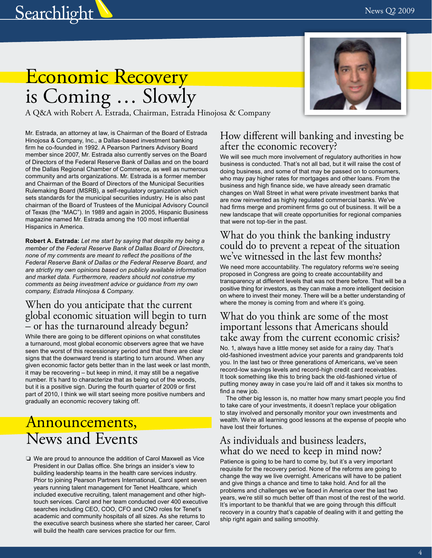<span id="page-3-0"></span>

# Economic Recovery is Coming … Slowly

A Q&A with Robert A. Estrada, Chairman, Estrada Hinojosa & Company

Mr. Estrada, an attorney at law, is Chairman of the Board of Estrada Hinojosa & Company, Inc., a Dallas-based investment banking firm he co-founded in 1992. A Pearson Partners Advisory Board member since 2007, Mr. Estrada also currently serves on the Board of Directors of the Federal Reserve Bank of Dallas and on the board of the Dallas Regional Chamber of Commerce, as well as numerous community and arts organizations. Mr. Estrada is a former member and Chairman of the Board of Directors of the Municipal Securities Rulemaking Board (MSRB), a self-regulatory organization which sets standards for the municipal securities industry. He is also past chairman of the Board of Trustees of the Municipal Advisory Council of Texas (the "MAC"). In 1989 and again in 2005, Hispanic Business magazine named Mr. Estrada among the 100 most influential Hispanics in America.

**Robert A. Estrada:** *Let me start by saying that despite my being a member of the Federal Reserve Bank of Dallas Board of Directors, none of my comments are meant to reflect the positions of the Federal Reserve Bank of Dallas or the Federal Reserve Board, and are strictly my own opinions based on publicly available information and market data. Furthermore, readers should not construe my comments as being investment advice or guidance from my own company, Estrada Hinojosa & Company.* 

#### When do you anticipate that the current global economic situation will begin to turn – or has the turnaround already begun?

While there are going to be different opinions on what constitutes a turnaround, most global economic observers agree that we have seen the worst of this recessionary period and that there are clear signs that the downward trend is starting to turn around. When any given economic factor gets better than in the last week or last month, it may be recovering – but keep in mind, it may still be a negative number. It's hard to characterize that as being out of the woods, but it is a positive sign. During the fourth quarter of 2009 or first part of 2010, I think we will start seeing more positive numbers and gradually an economic recovery taking off.

### Announcements, News and Events

❏ We are proud to announce the addition of Carol Maxwell as Vice President in our Dallas office. She brings an insider's view to building leadership teams in the health care services industry. Prior to joining Pearson Partners International, Carol spent seven years running talent management for Tenet Healthcare, which included executive recruiting, talent management and other hightouch services. Carol and her team conducted over 400 executive searches including CEO, COO, CFO and CNO roles for Tenet's academic and community hospitals of all sizes. As she returns to the executive search business where she started her career, Carol will build the health care services practice for our firm.



#### How different will banking and investing be after the economic recovery?

We will see much more involvement of regulatory authorities in how business is conducted. That's not all bad, but it will raise the cost of doing business, and some of that may be passed on to consumers, who may pay higher rates for mortgages and other loans. From the business and high finance side, we have already seen dramatic changes on Wall Street in what were private investment banks that are now reinvented as highly regulated commercial banks. We've had firms merge and prominent firms go out of business. It will be a new landscape that will create opportunities for regional companies that were not top-tier in the past.

#### What do you think the banking industry could do to prevent a repeat of the situation we've witnessed in the last few months?

We need more accountability. The regulatory reforms we're seeing proposed in Congress are going to create accountability and transparency at different levels that was not there before. That will be a positive thing for investors, as they can make a more intelligent decision on where to invest their money. There will be a better understanding of where the money is coming from and where it's going.

#### What do you think are some of the most important lessons that Americans should take away from the current economic crisis?

No. 1, always have a little money set aside for a rainy day. That's old-fashioned investment advice your parents and grandparents told you. In the last two or three generations of Americans, we've seen record-low savings levels and record-high credit card receivables. It took something like this to bring back the old-fashioned virtue of putting money away in case you're laid off and it takes six months to find a new job.

The other big lesson is, no matter how many smart people you find to take care of your investments, it doesn't replace your obligation to stay involved and personally monitor your own investments and wealth. We're all learning good lessons at the expense of people who have lost their fortunes.

#### As individuals and business leaders, what do we need to keep in mind now?

Patience is going to be hard to come by, but it's a very important requisite for the recovery period. None of the reforms are going to change the way we live overnight. Americans will have to be patient and give things a chance and time to take hold. And for all the problems and challenges we've faced in America over the last two years, we're still so much better off than most of the rest of the world. It's important to be thankful that we are going through this difficult recovery in a country that's capable of dealing with it and getting the ship right again and sailing smoothly.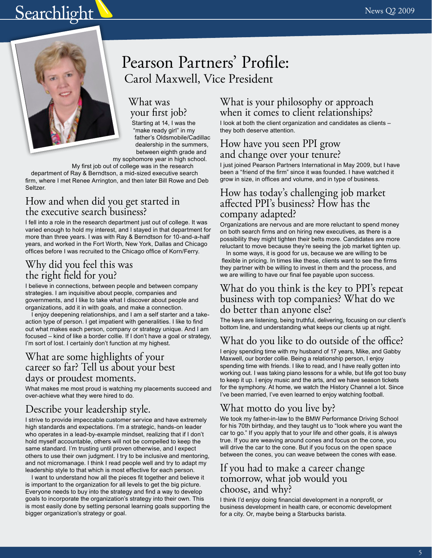# <span id="page-4-0"></span>Searchlight W News Q2 2009



### Pearson Partners' Profile: Carol Maxwell, Vice President

#### What was your first job?

Starting at 14, I was the "make ready girl" in my father's Oldsmobile/Cadillac dealership in the summers, between eighth grade and

my sophomore year in high school.

My first job out of college was in the research department of Ray & Berndtson, a mid-sized executive search firm, where I met Renee Arrington, and then later Bill Rowe and Deb Seltzer.

#### How and when did you get started in the executive search business?

I fell into a role in the research department just out of college. It was varied enough to hold my interest, and I stayed in that department for more than three years. I was with Ray & Berndtson for 10-and-a-half years, and worked in the Fort Worth, New York, Dallas and Chicago offices before I was recruited to the Chicago office of Korn/Ferry.

#### Why did you feel this was the right field for you?

I believe in connections, between people and between company strategies. I am inquisitive about people, companies and governments, and I like to take what I discover about people and organizations, add it in with goals, and make a connection.

I enjoy deepening relationships, and I am a self starter and a takeaction type of person. I get impatient with generalities. I like to find out what makes each person, company or strategy unique. And I am focused – kind of like a border collie. If I don't have a goal or strategy, I'm sort of lost. I certainly don't function at my highest.

#### What are some highlights of your career so far? Tell us about your best days or proudest moments.

What makes me most proud is watching my placements succeed and over-achieve what they were hired to do.

#### Describe your leadership style.

I strive to provide impeccable customer service and have extremely high standards and expectations. I'm a strategic, hands-on leader who operates in a lead-by-example mindset, realizing that if I don't hold myself accountable, others will not be compelled to keep the same standard. I'm trusting until proven otherwise, and I expect others to use their own judgment. I try to be inclusive and mentoring, and not micromanage. I think I read people well and try to adapt my leadership style to that which is most effective for each person.

I want to understand how all the pieces fit together and believe it is important to the organization for all levels to get the big picture. Everyone needs to buy into the strategy and find a way to develop goals to incorporate the organization's strategy into their own. This is most easily done by setting personal learning goals supporting the bigger organization's strategy or goal.

#### What is your philosophy or approach when it comes to client relationships?

I look at both the client organization and candidates as clients – they both deserve attention.

#### How have you seen PPI grow and change over your tenure?

I just joined Pearson Partners International in May 2009, but I have been a "friend of the firm" since it was founded. I have watched it grow in size, in offices and volume, and in type of business.

#### How has today's challenging job market affected PPI's business? How has the company adapted?

Organizations are nervous and are more reluctant to spend money on both search firms and on hiring new executives, as there is a possibility they might tighten their belts more. Candidates are more reluctant to move because they're seeing the job market tighten up.

In some ways, it is good for us, because we are willing to be flexible in pricing. In times like these, clients want to see the firms they partner with be willing to invest in them and the process, and we are willing to have our final fee payable upon success.

#### What do you think is the key to PPI's repeat business with top companies? What do we do better than anyone else?

The keys are listening, being truthful, delivering, focusing on our client's bottom line, and understanding what keeps our clients up at night.

#### What do you like to do outside of the office?

I enjoy spending time with my husband of 17 years, Mike, and Gabby Maxwell, our border collie. Being a relationship person, I enjoy spending time with friends. I like to read, and I have really gotten into working out. I was taking piano lessons for a while, but life got too busy to keep it up. I enjoy music and the arts, and we have season tickets for the symphony. At home, we watch the History Channel a lot. Since I've been married, I've even learned to enjoy watching football.

#### What motto do you live by?

We took my father-in-law to the BMW Performance Driving School for his 70th birthday, and they taught us to "look where you want the car to go." If you apply that to your life and other goals, it is always true. If you are weaving around cones and focus on the cone, you will drive the car to the cone. But if you focus on the open space between the cones, you can weave between the cones with ease.

#### If you had to make a career change tomorrow, what job would you choose, and why?

I think I'd enjoy doing financial development in a nonprofit, or business development in health care, or economic development for a city. Or, maybe being a Starbucks barista.